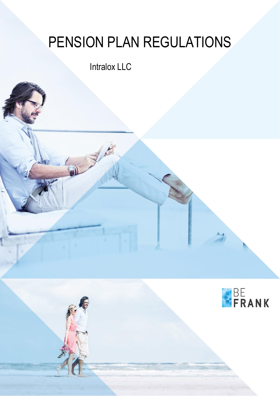# PENSION PLAN REGULATIONS

# Intralox LLC

 $-1$ 

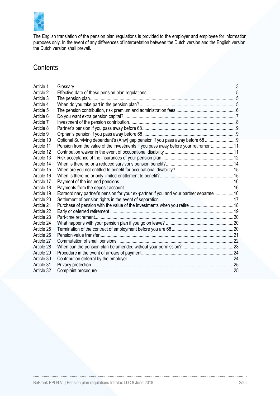

The English translation of the pension plan regulations is provided to the employer and employee for information purposes only. In the event of any differences of interpretation between the Dutch version and the English version, the Dutch version shall prevail.

# **Contents**

| Article 2                                                                                              |  |
|--------------------------------------------------------------------------------------------------------|--|
|                                                                                                        |  |
| Article 3                                                                                              |  |
| Article 4                                                                                              |  |
| Article 5                                                                                              |  |
| Article 6                                                                                              |  |
| Article 7                                                                                              |  |
| Article 8                                                                                              |  |
| Article 9                                                                                              |  |
| Optional Surviving dependant's (Anw) gap pension if you pass away before 68  9<br>Article 10           |  |
| Pension from the value of the investments if you pass away before your retirement 11<br>Article 11     |  |
| Article 12                                                                                             |  |
| Article 13                                                                                             |  |
| Article 14                                                                                             |  |
| Article 15                                                                                             |  |
| Article 16                                                                                             |  |
| Article 17                                                                                             |  |
| Article 18                                                                                             |  |
| Extraordinary partner's pension for your ex-partner if you and your partner separate  16<br>Article 19 |  |
| Article 20                                                                                             |  |
| Article 21                                                                                             |  |
| Article 22                                                                                             |  |
| Article 23                                                                                             |  |
| Article 24                                                                                             |  |
| Article 25                                                                                             |  |
| Article 26                                                                                             |  |
| Article 27                                                                                             |  |
| Article 28                                                                                             |  |
| Article 29                                                                                             |  |
| Article 30                                                                                             |  |
| Article 31                                                                                             |  |
| Article 32                                                                                             |  |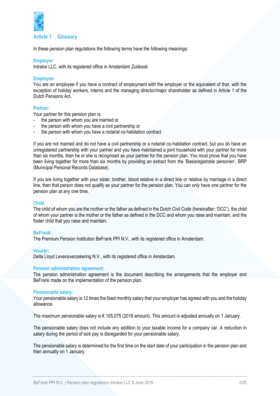

#### <span id="page-2-0"></span>**Article 1 Glossary**

In these pension plan regulations the following terms have the following meanings:

#### **Employer:**

Intralox LLC, with its registered office in Amsterdam Zuidoost.

#### **Employee:**

You are an employee if you have a contract of employment with the employer or the equivalent of that, with the exception of holiday workers, interns and the managing director/major shareholder as defined in Article 1 of the Dutch Pensions Act.

#### **Partner:**

Your partner for this pension plan is:

- the person with whom you are married or
- the person with whom you have a civil partnership or
- the person with whom you have a notarial co-habitation contract

If you are not married and do not have a civil partnership or a notarial co-habitation contract, but you do have an unregistered partnership with your partner and you have maintained a joint household with your partner for more than six months, then he or she is recognised as your partner for the pension plan. You must prove that you have been living together for more than six months by providing an extract from the 'Basisregistratie personen', BRP (Municipal Personal Records Database).

If you are living together with your sister, brother, blood relative in a direct line or relative by marriage in a direct line, then that person does not qualify as your partner for the pension plan. You can only have one partner for the pension plan at any one time.

#### **Child:**

The child of whom you are the mother or the father as defined in the Dutch Civil Code (hereinafter: 'DCC'), the child of whom your partner is the mother or the father as defined in the DCC and whom you raise and maintain, and the foster child that you raise and maintain.

#### **BeFrank:**

The Premium Pension Institution BeFrank PPI N.V., with its registered office in Amsterdam.

#### **Insurer:**

Delta Lloyd Levensverzekering N.V., with its registered office in Amsterdam.

#### **Pension administration agreement:**

The pension administration agreement is the document describing the arrangements that the employer and BeFrank made on the implementation of the pension plan.

#### **Pensionable salary:**

Your pensionable salary is 12 times the fixed monthly salary that your employer has agreed with you and the holiday allowance.

The maximum pensionable salary is € 105,075 (2018 amount). This amount is adjusted annually on 1 January.

The pensionable salary does not include any addition to your taxable income for a company car. A reduction in salary during the period of sick pay is disregarded for your pensionable salary.

The pensionable salary is determined for the first time on the start date of your participation in the pension plan and then annually on 1 January.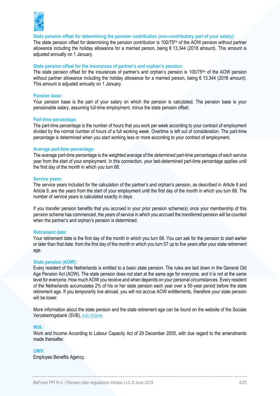

**State pension offset for determining the pension contribution (non-contributory part of your salary):**

The state pension offset for determining the pension contribution is 100/75<sup>ths</sup> of the AOW pension without partner allowance including the holiday allowance for a married person, being  $\epsilon$  13,344 (2018 amount). This amount is adjusted annually on 1 January.

#### **State pension offset for the insurances of partner's and orphan's pension:**

The state pension offset for the insurances of partner's and orphan's pension is 100/75<sup>ths</sup> of the AOW pension without partner allowance including the holiday allowance for a married person, being € 13,344 (2018 amount). This amount is adjusted annually on 1 January.

#### **Pension base:**

Your pension base is the part of your salary on which the pension is calculated. The pension base is your pensionable salary, assuming full-time employment, minus the state pension offset.

#### **Part-time percentage:**

The part-time percentage is the number of hours that you work per week according to your contract of employment divided by the normal number of hours of a full working week. Overtime is left out of consideration. The part-time percentage is determined when you start working less or more according to your contract of employment.

#### **Average part-time percentage:**

The average part-time percentage is the weighted average of the determined part-time percentages of each service year from the start of your employment. In this connection, your last-determined part-time percentage applies until the first day of the month in which you turn 68.

#### **Service years:**

The service years included for the calculation of the partner's and orphan's pension, as described in [Article 8](#page-8-0) and [Article 9,](#page-8-1) are the years from the start of your employment until the first day of the month in which you turn 68. The number of service years is calculated exactly in days.

If you transfer pension benefits that you accrued in your prior pension scheme(s) once your membership of this pension scheme has commenced, the years of service in which you accrued the transferred pension will be counted when the partner's and orphan's pension is determined.

#### **Retirement date:**

Your retirement date is the first day of the month in which you turn 68. You can ask for the pension to start earlier or later than that date: from the first day of the month in which you turn 57 up to five years after your state retirement age.

#### **State pension (AOW):**

Every resident of the Netherlands is entitled to a basic state pension. The rules are laid down in the General Old Age Pension Act (AOW). The state pension does not start at the same age for everyone, and it is not at the same level for everyone. How much AOW you receive and when depends on your personal circumstances. Every resident of the Netherlands accumulates 2% of his or her state pension each year over a 50-year period before the state retirement age. If you temporarily live abroad, you will not accrue AOW entitlements, therefore your state pension will be lower.

More information about the state pension and the state retirement age can be found on the website of the Sociale Verzekeringsbank (SVB)[, svb.nl/aow.](http://svb.nl/int/en/aow)

#### **WIA:**

Work and Income According to Labour Capacity Act of 29 December 2005, with due regard to the amendments made thereafter.

#### **UWV:**

Employee Benefits Agency.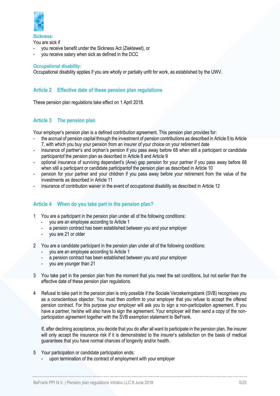

**Sickness:** You are sick if

- you receive benefit under the Sickness Act (Ziektewet), or
- you receive salary when sick as defined in the DCC

#### **Occupational disability:**

Occupational disability applies if you are wholly or partially unfit for work, as established by the UWV.

# <span id="page-4-0"></span>**Article 2 Effective date of these pension plan regulations**

These pension plan regulations take effect on 1 April 2018.

# <span id="page-4-1"></span>**Article 3 The pension plan**

Your employer's pension plan is a defined contribution agreement. This pension plan provides for:

- the accrual of pension capital through the investment of pension contributions as described i[n Article 5](#page-5-0) t[o Article](#page-7-0)  [7,](#page-7-0) with which you buy your pension from an insurer of your choice on your retirement date
- insurance of partner's and orphan's pension if you pass away before 68 when still a participant or candidate participantof the pension plan as described in [Article](#page-8-0) 8 and [Article 9](#page-8-1)
- optional insurance of surviving dependant's (Anw) gap pension for your partner if you pass away before 68 when still a participant or candidate participant of the pension plan as described in [Article 10](#page-8-2)
- pension for your partner and your children if you pass away before your retirement from the value of the investments as described in [Article 11](#page-10-0)
- insurance of contribution waiver in the event of occupational disability as described in [Article 12](#page-10-1)

# <span id="page-4-2"></span>**Article 4 When do you take part in the pension plan?**

- 1 You are a participant in the pension plan under all of the following conditions:
	- you are an employee according to [Article 1](#page-2-0)
	- a pension contract has been established between you and your employer
	- you are 21 or older
- 2 You are a candidate participant in the pension plan under all of the following conditions:
	- you are an employee according to [Article 1](#page-2-0)
	- a pension contract has been established between you and your employer
	- you are younger than 21
- 3 You take part in the pension plan from the moment that you meet the set conditions, but not earlier than the effective date of these pension plan regulations.
- <span id="page-4-4"></span>4 Refusal to take part in the pension plan is only possible if the Sociale Verzekeringsbank (SVB) recognises you as a conscientious objector. You must then confirm to your employer that you refuse to accept the offered pension contract. For this purpose your employer will ask you to sign a non-participation agreement. If you have a partner, he/she will also have to sign the agreement. Your employer will then send a copy of the nonparticipation agreement together with the SVB exemption statement to BeFrank.

If, after declining acceptance, you decide that you do after all want to participate in the pension plan, the insurer will only accept the insurance risk if it is demonstrated to the insurer's satisfaction on the basis of medical guarantees that you have normal chances of longevity and/or health.

- <span id="page-4-3"></span>5 Your participation or candidate participation ends:
	- upon termination of the contract of employment with your employer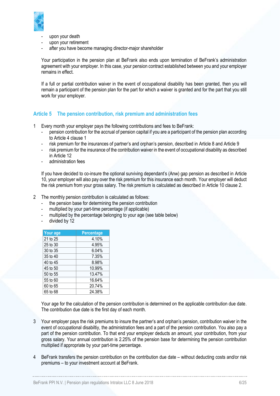

- upon your death
- upon your retirement
- after you have become managing director-major shareholder

Your participation in the pension plan at BeFrank also ends upon termination of BeFrank's administration agreement with your employer. In this case, your pension contract established between you and your employer remains in effect.

If a full or partial contribution waiver in the event of occupational disability has been granted, then you will remain a participant of the pension plan for the part for which a waiver is granted and for the part that you still work for your employer.

#### <span id="page-5-0"></span>**Article 5 The pension contribution, risk premium and administration fees**

- 1 Every month your employer pays the following contributions and fees to BeFrank:
	- pension contribution for the accrual of pension capital if you are a participant of the pension plan according to [Article 4](#page-4-2) clause 1
	- risk premium for the insurances of partner's and orphan's pension, described in [Article 8](#page-8-0) and [Article 9](#page-8-1)
	- risk premium for the insurance of the contribution waiver in the event of occupational disability as described in [Article 12](#page-10-1)
	- administration fees

If you have decided to co-insure the optional surviving dependant's (Anw) gap pension as described in [Article](#page-8-2)  [10,](#page-8-2) your employer will also pay over the risk premium for this insurance each month. Your employer will deduct the risk premium from your gross salary. The risk premium is calculated as described in [Article 10](#page-8-2) clause 2.

- 2 The monthly pension contribution is calculated as follows:
	- the pension base for determining the pension contribution
	- multiplied by your part-time percentage (if applicable)
	- multiplied by the percentage belonging to your age (see table below)
	- divided by 12

| Your age | <b>Percentage</b> |
|----------|-------------------|
| 21 to 25 | 4.10%             |
| 25 to 30 | 4.95%             |
| 30 to 35 | 6.04%             |
| 35 to 40 | 7.35%             |
| 40 to 45 | 8.98%             |
| 45 to 50 | 10.99%            |
| 50 to 55 | 13.47%            |
| 55 to 60 | 16.64%            |
| 60 to 65 | 20.74%            |
| 65 to 68 | 24.38%            |

Your age for the calculation of the pension contribution is determined on the applicable contribution due date. The contribution due date is the first day of each month.

- 3 Your employer pays the risk premiums to insure the partner's and orphan's pension, contribution waiver in the event of occupational disabiltiy, the administration fees and a part of the pension contribution. You also pay a part of the pension contribution. To that end your employer deducts an amount, your contribution, from your gross salary. Your annual contribution is 2.25% of the pension base for determining the pension contribution multiplied if appropriate by your part-time percentage.
- 4 BeFrank transfers the pension contribution on the contribution due date without deducting costs and/or risk premiums – to your investment account at BeFrank.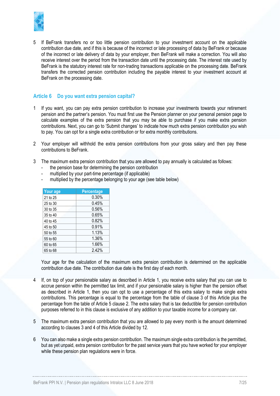

5 If BeFrank transfers no or too little pension contribution to your investment account on the applicable contribution due date, and if this is because of the incorrect or late processing of data by BeFrank or because of the incorrect or late delivery of data by your employer, then BeFrank will make a correction. You will also receive interest over the period from the transaction date until the processing date. The interest rate used by BeFrank is the statutory interest rate for non-trading transactions applicable on the processing date. BeFrank transfers the corrected pension contribution including the payable interest to your investment account at BeFrank on the processing date.

## <span id="page-6-0"></span>**Article 6 Do you want extra pension capital?**

- 1 If you want, you can pay extra pension contribution to increase your investments towards your retirement pension and the partner's pension. You must first use the Pension planner on your personal pension page to calculate examples of the extra pension that you may be able to purchase if you make extra pension contributions. Next, you can go to 'Submit changes' to indicate how much extra pension contribution you wish to pay. You can opt for a single extra contribution or for extra monthly contributions.
- 2 Your employer will withhold the extra pension contributions from your gross salary and then pay these contributions to BeFrank.
- 3 The maximum extra pension contribution that you are allowed to pay annually is calculated as follows:
	- the pension base for determining the pension contribution
	- multiplied by your part-time percentage (if applicable)
	- multiplied by the percentage belonging to your age (see table below)

| Your age | <b>Percentage</b> |
|----------|-------------------|
| 21 to 25 | 0.30%             |
| 25 to 30 | 0.45%             |
| 30 to 35 | 0.56%             |
| 35 to 40 | 0.65%             |
| 40 to 45 | 0.82%             |
| 45 to 50 | 0.91%             |
| 50 to 55 | 1.13%             |
| 55 to 60 | 1.36%             |
| 60 to 65 | 1.66%             |
| 65 to 68 | 2.42%             |

Your age for the calculation of the maximum extra pension contribution is determined on the applicable contribution due date. The contribution due date is the first day of each month.

- If, on top of your pensionable salary as described in [Article 1,](#page-2-0) you receive extra salary that you can use to accrue pension within the permitted tax limit, and if your pensionable salary is higher than the pension offset as described in [Article 1,](#page-2-0) then you can opt to use a percentage of this extra salary to make single extra contributions. This percentage is equal to the percentage from the table of clause 3 of this Article plus the percentage from the table of [Article 5](#page-5-0) clause 2. The extra salary that is tax deductible for pension contribution purposes referred to in this clause is exclusive of any addition to your taxable income for a company car.
- 5 The maximum extra pension contribution that you are allowed to pay every month is the amount determined according to clauses 3 and 4 of this Article divided by 12.
- 6 You can also make a single extra pension contribution. The maximum single extra contribution is the permitted, but as yet unpaid, extra pension contribution for the past service years that you have worked for your employer while these pension plan regulations were in force.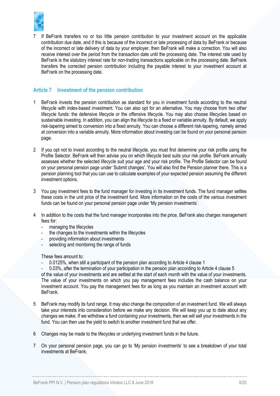

7 If BeFrank transfers no or too little pension contribution to your investment account on the applicable contribution due date, and if this is because of the incorrect or late processing of data by BeFrank or because of the incorrect or late delivery of data by your employer, then BeFrank will make a correction. You will also receive interest over the period from the transaction date until the processing date. The interest rate used by BeFrank is the statutory interest rate for non-trading transactions applicable on the processing date. BeFrank transfers the corrected pension contribution including the payable interest to your investment account at BeFrank on the processing date.

## <span id="page-7-0"></span>**Article 7 Investment of the pension contribution**

- 1 BeFrank invests the pension contribution as standard for you in investment funds according to the neutral lifecycle with index-based investment. You can also opt for an alternative. You may choose from two other lifecycle funds: the defensive lifecycle or the offensive lifecycle. You may also choose lifecycles based on sustainable investing. In addition, you can align the lifecycle to a fixed or variable annuity. By default, we apply risk-tapering aimed to conversion into a fixed annuity. You can choose a different risk-tapering, namely aimed at conversion into a variable annuity. More information about investing can be found on your personal pension page.
- 2 If you opt not to invest according to the neutral lifecycle, you must first determine your risk profile using the Profile Selector. BeFrank will then advise you on which lifecycle best suits your risk profile. BeFrank annually assesses whether the selected lifecycle suit your age and your risk profile. The Profile Selector can be found on your personal pension page under 'Submit changes'. You will also find the Pension planner there. This is a pension planning tool that you can use to calculate examples of your expected pension assuming the different investment options.
- <span id="page-7-1"></span>3 You pay investment fees to the fund manager for investing in its investment funds. The fund manager settles these costs in the unit price of the investment fund. More information on the costs of the various investment funds can be found on your personal pension page under 'My pension investments'.
- <span id="page-7-2"></span>4 In addition to the costs that the fund manager incorporates into the price, BeFrank also charges management fees for:
	- managing the lifecycles
	- the changes to the investments within the lifecycles
	- providing information about investments
	- selecting and monitoring the range of funds

These fees amount to:

- 0.0125%, when still a participant of the pension plan according to [Article 4](#page-4-2) clause 1
- 0.03%, after the termination of your participation in the pension plan according t[o Article 4](#page-4-2) clause [5](#page-4-3) of the value of your investments and are settled at the start of each month with the value of your investments. The value of your investments on which you pay management fees includes the cash balance on your investment account. You pay the management fees for as long as you maintain an investment account with BeFrank.
- 5 BeFrank may modify its fund range. It may also change the composition of an investment fund. We will always take your interests into consideration before we make any decision. We will keep you up to date about any changes we make. If we withdraw a fund containing your investments, then we will sell your investments in the fund. You can then use the yield to switch to another investment fund that we offer.
- 6 Changes may be made to the lifecycles or underlying investment funds in the future.
- 7 On your personal pension page, you can go to 'My pension investments' to see a breakdown of your total investments at BeFrank.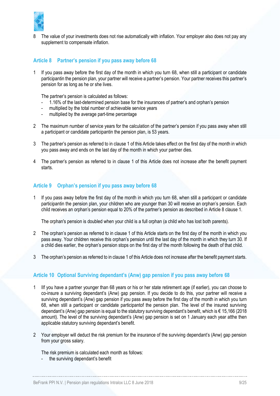

8 The value of your investments does not rise automatically with inflation. Your employer also does not pay any supplement to compensate inflation.

#### <span id="page-8-0"></span>**Article 8 Partner's pension if you pass away before 68**

1 If you pass away before the first day of the month in which you turn 68, when still a participant or candidate participantin the pension plan, your partner will receive a partner's pension. Your partner receives this partner's pension for as long as he or she lives.

The partner's pension is calculated as follows:

- 1.16% of the last-determined pension base for the insurances of partner's and orphan's pension
- multiplied by the total number of achievable service years
- multiplied by the average part-time percentage
- 2 The maximum number of service years for the calculation of the partner's pension if you pass away when still a participant or candidate participantin the pension plan, is 53 years.
- 3 The partner's pension as referred to in clause 1 of this Article takes effect on the first day of the month in which you pass away and ends on the last day of the month in which your partner dies.
- 4 The partner's pension as referred to in clause 1 of this Article does not increase after the benefit payment starts.

#### <span id="page-8-1"></span>**Article 9 Orphan's pension if you pass away before 68**

1 If you pass away before the first day of the month in which you turn 68, when still a participant or candidate participantin the pension plan, your children who are younger than 30 will receive an orphan's pension. Each child receives an orphan's pension equal to 20% of the partner's pension as described in [Article 8](#page-8-0) clause 1.

The orphan's pension is doubled when your child is a full orphan (a child who has lost both parents).

- 2 The orphan's pension as referred to in clause 1 of this Article starts on the first day of the month in which you pass away. Your children receive this orphan's pension until the last day of the month in which they turn 30. If a child dies earlier, the orphan's pension stops on the first day of the month following the death of that child.
- 3 The orphan's pension as referred to in clause 1 of this Article does not increase after the benefit payment starts.

#### <span id="page-8-2"></span>**Article 10 Optional Surviving dependant's (Anw) gap pension if you pass away before 68**

- 1 IIf you have a partner younger than 68 years or his or her state retirement age (if earlier), you can choose to co-insure a surviving dependant's (Anw) gap pension. If you decide to do this, your partner will receive a surviving dependant's (Anw) gap pension if you pass away before the first day of the month in which you turn 68, when still a participant or candidate participantof the pension plan. The level of the insured surviving dependant's (Anw) gap pension is equal to the statutory surviving dependant's benefit, which is € 15,166 (2018 amount). The level of the surviving dependant's (Anw) gap pension is set on 1 January each year atthe then applicable statutory surviving dependant's benefit.
- 2 Your employer will deduct the risk premium for the insurance of the surviving dependant's (Anw) gap pension from your gross salary.

The risk premium is calculated each month as follows:

the surviving dependant's benefit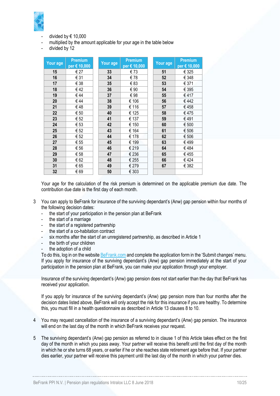

- divided by  $\in$  10,000
- multiplied by the amount applicable for your age in the table below
- divided by 12

| Your age | <b>Premium</b><br>per € 10,000 | Your age | <b>Premium</b><br>per € 10,000 | Your age | <b>Premium</b><br>per € 10,000 |
|----------|--------------------------------|----------|--------------------------------|----------|--------------------------------|
| 15       | € 27                           | 33       | €73                            | 51       | € 325                          |
| 16       | € 31                           | 34       | €78                            | 52       | € 348                          |
| 17       | € 38                           | 35       | € 83                           | 53       | € 371                          |
| 18       | €42                            | 36       | € 90                           | 54       | € 395                          |
| 19       | €44                            | 37       | €98                            | 55       | €417                           |
| 20       | €44                            | 38       | € 106                          | 56       | €442                           |
| 21       | €48                            | 39       | € 116                          | 57       | €458                           |
| 22       | € 50                           | 40       | € 125                          | 58       | €475                           |
| 23       | € 52                           | 41       | € 137                          | 59       | €491                           |
| 24       | € 53                           | 42       | € 150                          | 60       | € 500                          |
| 25       | € 52                           | 43       | € 164                          | 61       | € 506                          |
| 26       | € 52                           | 44       | € 178                          | 62       | € 506                          |
| 27       | € 55                           | 45       | € 199                          | 63       | € 499                          |
| 28       | € 56                           | 46       | € 219                          | 64       | €484                           |
| 29       | € 58                           | 47       | € 236                          | 65       | €455                           |
| 30       | € 62                           | 48       | € 255                          | 66       | €424                           |
| 31       | € 65                           | 49       | € 279                          | 67       | € 382                          |
| 32       | € 69                           | 50       | € 303                          |          |                                |

Your age for the calculation of the risk premium is determined on the applicable premium due date. The contribution due date is the first day of each month.

- 3 You can apply to BeFrank for insurance of the surviving dependant's (Anw) gap pension within four months of the following decision dates:
	- the start of your participation in the pension plan at BeFrank
	- the start of a marriage
	- the start of a registered partnership
	- the start of a co-habitation contract
	- six months after the start of an unregistered partnership, as described in Article 1
	- the birth of your children
	- the adoption of a child

To do this, log in on the website [BeFrank.com](https://www.befrank.com/) and complete the application form in the 'Submit changes' menu. If you apply for insurance of the surviving dependant's (Anw) gap pension immediately at the start of your participation in the pension plan at BeFrank, you can make your application through your employer.

Insurance of the surviving dependant's (Anw) gap pension does not start earlier than the day that BeFrank has received your application.

If you apply for insurance of the surviving dependant's (Anw) gap pension more than four months after the decision dates listed above, BeFrank will only accept the risk for this insurance if you are healthy. To determine this, you must fill in a health questionnaire as described in [Article 13](#page-11-0) clauses [8](#page-12-0) to [10.](#page-13-1)

- 4 You may request cancellation of the insurance of a surviving dependant's (Anw) gap pension. The insurance will end on the last day of the month in which BeFrank receives your request.
- 5 The surviving dependant's (Anw) gap pension as referred to in clause 1 of this Article takes effect on the first day of the month in which you pass away. Your partner will receive this benefit until the first day of the month in which he or she turns 68 years, or earlier if he or she reaches state retirement age before that. If your partner dies earlier, your partner will receive this payment until the last day of the month in which your partner dies.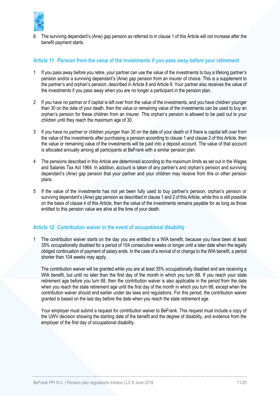

6 The surviving dependant's (Anw) gap pension as referred to in clause 1 of this Article will not increase after the benefit payment starts.

#### <span id="page-10-0"></span>**Article 11 Pension from the value of the investments if you pass away before your retirement**

- 1 If you pass away before you retire, your partner can use the value of the investments to buy a lifelong partner's pension and/or a surviving dependant's (Anw) gap pension from an insurer of choice. This is a supplement to the partner's and orphan's pension, described i[n Article 8](#page-8-0) and [Article 9.](#page-8-1) Your partner also receives the value of the investments if you pass away when you are no longer a participant in the pension plan.
- 2 If you have no partner or if capital is left over from the value of the investments, and you have children younger than 30 on the date of your death, then the value or remaining value of the investments can be used to buy an orphan's pension for these children from an insurer. This orphan's pension is allowed to be paid out to your children until they reach the maximum age of 30.
- 3 If you have no partner or children younger than 30 on the date of your death or if there is capital left over from the value of the investments after purchasing a pension according to clause 1 and clause 2 of this Article, then the value or remaining value of the investments will be paid into a deposit account. The value of that account is allocated annually among all participants at BeFrank with a similar pension plan.
- 4 The pensions described in this Article are determined according to the maximum limits as set out in the Wages and Salaries Tax Act 1964. In addition, account is taken of any partner's and orphan's pension and surviving dependant's (Anw) gap pension that your partner and your children may receive from this or other pension plans.
- 5 If the value of the investments has not yet been fully used to buy partner's pension, orphan's pension or surviving dependant's (Anw) gap pension as described in clause 1 and 2 of this Article, while this is still possible on the basis of clause 4 of this Article, then the value of the investments remains payable for as long as those entitled to this pension value are alive at the time of your death.

# <span id="page-10-1"></span>**Article 12 Contribution waiver in the event of occupational disability**

1 The contribution waiver starts on the day you are entitled to a WIA benefit, because you have been at least 35% occupationally disabled for a period of 104 consecutive weeks or longer until a later date when the legally obliged continuation of payment of salary ends. In the case of a revival of or change to the WIA benefit, a period shorter than 104 weeks may apply.

The contribution waiver will be granted while you are at least 35% occupationally disabled and are receiving a WIA benefit, but until no later than the first day of the month in which you turn 68. If you reach your state retirement age before you turn 68, then the contribution waiver is also applicable in the period from the date when you reach the state retirement age until the first day of the month in which you turn 68, except when the contribution waiver should end earlier under tax laws and regulations. For this period, the contribution waiver granted is based on the last day before the date when you reach the state retirement age.

Your employer must submit a request for contribution waiver to BeFrank. This request must include a copy of the UWV decision showing the starting date of the benefit and the degree of disability, and evidence from the employer of the first day of occupational disability.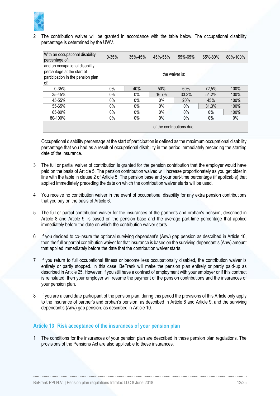

2 The contribution waiver will be granted in accordance with the table below. The occupational disability percentage is determined by the UWV.

| With an occupational disability<br>percentage of:                                                        | $0 - 35%$ | $35\% - 45\%$  | 45%-55% | 55%-65% | 65%-80% | 80%-100% |  |  |
|----------------------------------------------------------------------------------------------------------|-----------|----------------|---------|---------|---------|----------|--|--|
| and an occupational disability<br>percentage at the start of<br>participation in the pension plan<br>of: |           | the waiver is: |         |         |         |          |  |  |
| $0 - 35%$                                                                                                | $0\%$     | 40%            | 50%     | 60%     | 72,5%   | 100%     |  |  |
| 35-45%                                                                                                   | $0\%$     | $0\%$          | 16.7%   | 33.3%   | 54.2%   | 100%     |  |  |
| 45-55%                                                                                                   | $0\%$     | $0\%$          | $0\%$   | 20%     | 45%     | 100%     |  |  |
| 55-65%                                                                                                   | $0\%$     | $0\%$          | 0%      | $0\%$   | 31.3%   | 100%     |  |  |
| 65-80%                                                                                                   | $0\%$     | $0\%$          | $0\%$   | 0%      | 0%      | 100%     |  |  |
| 80-100%                                                                                                  | $0\%$     | $0\%$          | 0%      | 0%      | $0\%$   | 0%       |  |  |
| of the contributions due.                                                                                |           |                |         |         |         |          |  |  |

Occupational disability percentage at the start of participation is defined as the maximum occupational disability percentage that you had as a result of occupational disability in the period immediately preceding the starting date of the insurance.

- 3 The full or partial waiver of contribution is granted for the pension contribution that the employer would have paid on the basis o[f Article 5.](#page-5-0) The pension contribution waived will increase proportionately as you get older in line with the table in clause 2 o[f Article 5.](#page-5-0) The pension base and your part-time percentage (if applicable) that applied immediately preceding the date on which the contribution waiver starts will be used.
- 4 You receive no contribution waiver in the event of occupational disability for any extra pension contributions that you pay on the basis of [Article 6.](#page-6-0)
- 5 The full or partial contribution waiver for the insurances of the partner's and orphan's pension, described in [Article 8](#page-8-0) and [Article 9,](#page-8-1) is based on the pension base and the average part-time percentage that applied immediately before the date on which the contribution waiver starts.
- 6 If you decided to co-insure the optional surviving dependant's (Anw) gap pension as described in [Article 10,](#page-8-2) then the full or partial contribution waiver for that insurance is based on the surviving dependant's (Anw) amount that applied immediately before the date that the contribution waiver starts.
- 7 If you return to full occupational fitness or become less occupationally disabled, the contribution waiver is entirely or partly stopped. In this case, BeFrank will make the pension plan entirely or partly paid-up as described i[n Article 25.](#page-19-2) However, if you still have a contract of employment with your employer or if this contract is reinstated, then your employer will resume the payment of the pension contributions and the insurances of your pension plan.
- If you are a candidate participant of the pension plan, during this period the provisions of this Article only apply to the insurance of partner's and orphan's pension, as described in [Article 8](#page-8-0) and [Article 9,](#page-8-1) and the surviving dependant's (Anw) gap pension, as described in [Article 10.](#page-8-2)

#### <span id="page-11-0"></span>**Article 13 Risk acceptance of the insurances of your pension plan**

1 The conditions for the insurances of your pension plan are described in these pension plan regulations. The provisions of the Pensions Act are also applicable to these insurances.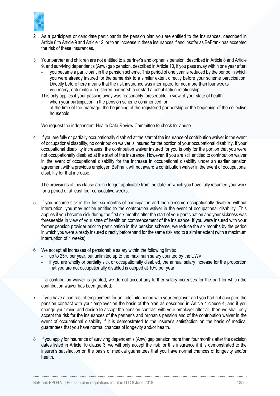

- 2 As a participant or candidate participantin the pension plan you are entitled to the insurances, described in [Article 8](#page-8-0) t[o Article 9](#page-8-1) an[d Article 12,](#page-10-1) or to an increase in these insurances if and insofar as BeFrank has accepted the risk of these insurances.
- 3 Your partner and children are not entitled to a partner's and orphan's pension, described in [Article 8](#page-8-0) an[d Article](#page-8-1)  [9](#page-8-1), and surviving dependant's (Anw) gap pension, described in [Article 10,](#page-8-2) if you pass away within one year after:
	- you became a participant in the pension scheme. This period of one year is reduced by the period in which you were already insured for the same risk to a similar extent directly before your scheme participation. Directly before here means that the risk insurance was interrupted for not more than four weeks
	- you marry, enter into a registered partnership or start a cohabitation relationship
	- This only applies if your passing away was reasonably foreseeable in view of your state of health:
	- when your participation in the pension scheme commenced, or
	- at the time of the marriage, the beginning of the registered partnership or the beginning of the collective household

We request the independent Health Data Review Committee to check for abuse.

4 If you are fully or partially occupationally disabled at the start of the insurance of contribution waiver in the event of occupational disability, no contribution waiver is insured for the portion of your occupational disability. If your occupational disability increases, the contribution waiver insured for you is only for the portion that you were not occupationally disabled at the start of the insurance. However, if you are still entitled to contribution waiver in the event of occupational disability for the increase in occupational disability under an earlier pension agreement with a previous employer, BeFrank will not award a contribution waiver in the event of occupational disability for that increase.

The provisions of this clause are no longer applicable from the date on which you have fully resumed your work for a period of at least four consecutive weeks.

- 5 If you become sick in the first six months of participation and then become occupationally disabled without interruption, you may not be entitled to the contribution waiver in the event of occupational disability. This applies if you become sick during the first six months after the start of your participation and your sickness was foreseeable in view of your state of health on commencement of the insurance. If you were insured with your former pension provider prior to participation in this pension scheme, we reduce the six months by the period in which you were already insured directly beforehand for the same risk and to a similar extent (with a maximum interruption of 4 weeks).
- 6 We accept all increases of pensionable salary within the following limits:
	- up to 25% per year, but unlimited up to the maximum salary counted by the UWV
	- if you are wholly or partially sick or occupationally disabled, the annual salary increase for the proportion that you are not occupationally disabled is capped at 10% per year

If a contribution waiver is granted, we do not accept any further salary increases for the part for which the contribution waiver has been granted.

- If you have a contract of employment for an indefinite period with your employer and you had not accepted the pension contract with your employer on the basis of the plan as described in [Article 4](#page-4-2) clause [4,](#page-4-4) and if you change your mind and decide to accept the pension contract with your employer after all, then we shall only accept the risk for the insurances of the partner's and orphan's pension and of the contribution waiver in the event of occupational disability if it is demonstrated to the insurer's satisfaction on the basis of medical guarantees that you have normal chances of longevity and/or health.
- <span id="page-12-0"></span>8 If you apply for insurance of surviving dependant's (Anw) gap pension more than four months after the decision dates listed in [Article 10](#page-8-2) clause 3, we will only accept the risk for this insurance if it is demonstrated to the insurer's satisfaction on the basis of medical guarantees that you have normal chances of longevity and/or health.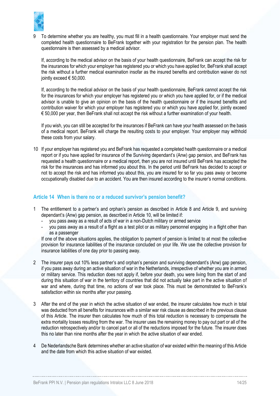

9 To determine whether you are healthy, you must fill in a health questionnaire. Your employer must send the completed health questionnaire to BeFrank together with your registration for the pension plan. The health questionnaire is then assessed by a medical advisor.

If, according to the medical advisor on the basis of your health questionnaire, BeFrank can accept the risk for the insurances for which your employer has registered you or which you have applied for, BeFrank shall accept the risk without a further medical examination insofar as the insured benefits and contribution waiver do not jointly exceed  $\epsilon$  50,000.

If, according to the medical advisor on the basis of your health questionnaire, BeFrank cannot accept the risk for the insurances for which your employer has registered you or which you have applied for, or if the medical advisor is unable to give an opinion on the basis of the health questionnaire or if the insured benefits and contribution waiver for which your employer has registered you or which you have applied for, jointly exceed € 50,000 per year, then BeFrank shall not accept the risk without a further examination of your health.

If you wish, you can still be accepted for the insurances if BeFrank can have your health assessed on the basis of a medical report. BeFrank will charge the resulting costs to your employer. Your employer may withhold these costs from your salary.

<span id="page-13-1"></span>10 If your employer has registered you and BeFrank has requested a completed health questionnaire or a medical report or if you have applied for insurance of the Surviving dependant's (Anw) gap pension, and BeFrank has requested a health questionnaire or a medical report, then you are not insured until BeFrank has accepted the risk for the insurances and has informed you about this. In the period until BeFrank has decided to accept or not to accept the risk and has informed you about this, you are insured for so far you pass away or become occupationally disabled due to an accident. You are then insured according to the insurer's normal conditions.

# <span id="page-13-0"></span>**Article 14 When is there no or a reduced survivor's pension benefit?**

- 1 The entitlement to a partner's and orphan's pension as described in [Article 8](#page-8-0) and [Article 9,](#page-8-1) and surviving dependant's (Anw) gap pension, as described in [Article 10,](#page-8-2) will be limited if:
	- you pass away as a result of acts of war in a non-Dutch military or armed service
	- you pass away as a result of a flight as a test pilot or as military personnel engaging in a flight other than as a passenger

If one of the above situations applies, the obligation to payment of pension is limited to at most the collective provision for insurance liabilities of the insurance concluded on your life. We use the collective provision for insurance liabilities of one day prior to passing away.

- 2 The insurer pays out 10% less partner's and orphan's pension and surviving dependant's (Anw) gap pension, if you pass away during an active situation of war in the Netherlands, irrespective of whether you are in armed or military service. This reduction does not apply if, before your death, you were living from the start of and during this situation of war in the territory of countries that did not actually take part in the active situation of war and where, during that time, no actions of war took place. This must be demonstrated to BeFrank's satisfaction within six months after your passing.
- 3 After the end of the year in which the active situation of war ended, the insurer calculates how much in total was deducted from all benefits for insurances with a similar war risk clause as described in the previous clause of this Article. The insurer then calculates how much of this total reduction is necessary to compensate the extra mortality losses resulting from the war. The insurer uses the remaining money to pay out part or all of the reduction retrospectively and/or to cancel part or all of the reductions imposed for the future. The insurer does this no later than nine months after the year in which the active situation of war ended.
- 4 De Nederlandsche Bank determines whether an active situation of war existed within the meaning of this Article and the date from which this active situation of war existed.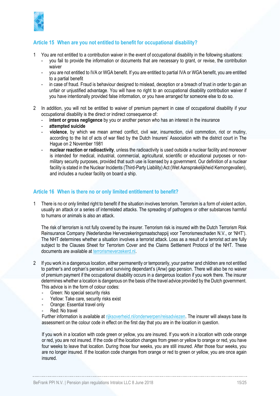

# <span id="page-14-0"></span>**Article 15 When are you not entitled to benefit for occupational disability?**

- 1 You are not entitled to a contribution waiver in the event of occupational disability in the following situations:
	- you fail to provide the information or documents that are necessary to grant, or revise, the contribution waiver
	- you are not entitled to IVA or WGA benefit. If you are entitled to partial IVA or WGA benefit, you are entitled to a partial benefit
	- in case of fraud. Fraud is behaviour designed to mislead, deception or a breach of trust in order to gain an unfair or unjustified advantage. You will have no right to an occupational disability contribution waiver if you have intentionally provided false information, or you have arranged for someone else to do so.
- 2 In addition, you will not be entitled to waiver of premium payment in case of occupational disability if your occupational disability is the direct or indirect consequence of:
	- intent or gross negligence by you or another person who has an interest in the insurance
	- **attempted suicide**
	- **violence**, by which we mean armed conflict, civil war, insurrection, civil commotion, riot or mutiny, according to the list of acts of war filed by the Dutch Insurers' Association with the district court in The Hague on 2 November 1981
	- **nuclear reaction or radioactivity**, unless the radioactivity is used outside a nuclear facility and moreover is intended for medical, industrial, commercial, agricultural, scientific or educational purposes or nonmilitary security purposes, provided that such use is licensed by a government. Our definition of a nuclear facility is stated in the Nuclear Incidents (Third-Party Liability) Act (Wet Aansprakelijkheid Kernongevallen), and includes a nuclear facility on board a ship.

# <span id="page-14-1"></span>**Article 16 When is there no or only limited entitlement to benefit?**

1 There is no or only limited right to benefit if the situation involves terrorism. Terrorism is a form of violent action, usually an attack or a series of interrelated attacks. The spreading of pathogens or other substances harmful to humans or animals is also an attack.

The risk of terrorism is not fully covered by the insurer. Terrorism risk is insured with the Dutch Terrorism Risk Reinsurance Company (Nederlandse Herverzekeringsmaatschappij voor Terrorismeschaden N.V., or 'NHT'). The NHT determines whether a situation involves a terrorist attack. Loss as a result of a terrorist act are fully subject to the Clauses Sheet for Terrorism Cover and the Claims Settlement Protocol of the NHT. These documents are available at [terrorismeverzekerd.nl.](http://www.terrorismeverzekerd.nl/)

- 2 If you work in a dangerous location, either permanently or temporarily, your partner and children are not entitled to partner's and orphan's pension and surviving dependant's (Anw) gap pension. There will also be no waiver of premium payment if the occupational disability occurs in a dangerous location if you work there. The insurer determines whether a location is dangerous on the basis of the travel advice provided by the Dutch government. This advice is in the form of colour codes:
	- Green: No special security risks
	- Yellow: Take care, security risks exist
	- Orange: Essential travel only
	- Red: No travel

Further information is available at [rijksoverheid.nl/onderwerpen/reisadviezen.](https://www.nederlandwereldwijd.nl/reizen/reisadviezen) The insurer will always base its assessment on the colour code in effect on the first day that you are in the location in question.

If you work in a location with code green or yellow, you are insured. If you work in a location with code orange or red, you are not insured. If the code of the location changes from green or yellow to orange or red, you have four weeks to leave that location. During those four weeks, you are still insured. After those four weeks, you are no longer insured. If the location code changes from orange or red to green or yellow, you are once again insured.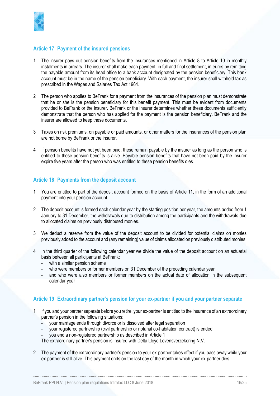

#### <span id="page-15-0"></span>**Article 17 Payment of the insured pensions**

- 1 The insurer pays out pension benefits from the insurances mentioned in [Article 8](#page-8-0) to [Article 10](#page-8-2) in monthly instalments in arrears. The insurer shall make each payment, in full and final settlement, in euros by remitting the payable amount from its head office to a bank account designated by the pension beneficiary. This bank account must be in the name of the pension beneficiary. With each payment, the insurer shall withhold tax as prescribed in the Wages and Salaries Tax Act 1964.
- 2 The person who applies to BeFrank for a payment from the insurances of the pension plan must demonstrate that he or she is the pension beneficiary for this benefit payment. This must be evident from documents provided to BeFrank or the insurer. BeFrank or the insurer determines whether these documents sufficiently demonstrate that the person who has applied for the payment is the pension beneficiary. BeFrank and the insurer are allowed to keep these documents.
- 3 Taxes on risk premiums, on payable or paid amounts, or other matters for the insurances of the pension plan are not borne by BeFrank or the insurer.
- 4 If pension benefits have not yet been paid, these remain payable by the insurer as long as the person who is entitled to these pension benefits is alive. Payable pension benefits that have not been paid by the insurer expire five years after the person who was entitled to these pension benefits dies.

#### <span id="page-15-1"></span>**Article 18 Payments from the deposit account**

- 1 You are entitled to part of the deposit account formed on the basis of [Article 11,](#page-10-0) in the form of an additional payment into your pension account.
- 2 The deposit account is formed each calendar year by the starting position per year, the amounts added from 1 January to 31 December, the withdrawals due to distribution among the participants and the withdrawals due to allocated claims on previously distributed monies.
- 3 We deduct a reserve from the value of the deposit account to be divided for potential claims on monies previously added to the account and (any remaining) value of claims allocated on previously distributed monies.
- 4 In the third quarter of the following calendar year we divide the value of the deposit account on an actuarial basis between all participants at BeFrank:
	- with a similar pension scheme
	- who were members or former members on 31 December of the preceding calendar year
	- and who were also members or former members on the actual date of allocation in the subsequent calendar year

# <span id="page-15-2"></span>**Article 19 Extraordinary partner's pension for your ex-partner if you and your partner separate**

- 1 If you and your partner separate before you retire, your ex-partner is entitled to the insurance of an extraordinary partner's pension in the following situations:
	- your marriage ends through divorce or is dissolved after legal separation
	- your registered partnership (civil partnership or notarial co-habitation contract) is ended
	- you end a non-registered partnership as described in [Article 1](#page-2-0)

The extraordinary partner's pension is insured with Delta Lloyd Levensverzekering N.V.

2 The payment of the extraordinary partner's pension to your ex-partner takes effect if you pass away while your ex-partner is still alive. This payment ends on the last day of the month in which your ex-partner dies.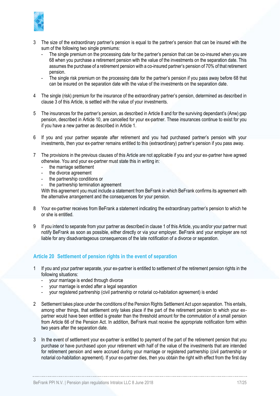

- 3 The size of the extraordinary partner's pension is equal to the partner's pension that can be insured with the sum of the following two single premiums:
	- The single premium on the processing date for the partner's pension that can be co-insured when you are 68 when you purchase a retirement pension with the value of the investments on the separation date. This assumes the purchase of a retirement pension with a co-insured partner's pension of 70% of that retirement pension.
	- The single risk premium on the processing date for the partner's pension if you pass away before 68 that can be insured on the separation date with the value of the investments on the separation date.
- 4 The single (risk) premium for the insurance of the extraordinary partner's pension, determined as described in clause 3 of this Article, is settled with the value of your investments.
- 5 The insurances for the partner's pension, as described i[n Article 8](#page-8-0) and for the surviving dependant's (Anw) gap pension, described in [Article 10,](#page-8-2) are cancelled for your ex-partner. These insurances continue to exist for you if you have a new partner as described in [Article 1.](#page-2-0)
- 6 If you and your partner separate after retirement and you had purchased partner's pension with your investments, then your ex-partner remains entitled to this (extraordinary) partner's pension if you pass away.
- 7 The provisions in the previous clauses of this Article are not applicable if you and your ex-partner have agreed otherwise. You and your ex-partner must state this in writing in:
	- the marriage settlement
	- the divorce agreement
	- the partnership conditions or
	- the partnership termination agreement

With this agreement you must include a statement from BeFrank in which BeFrank confirms its agreement with the alternative arrangement and the consequences for your pension.

- 8 Your ex-partner receives from BeFrank a statement indicating the extraordinary partner's pension to which he or she is entitled.
- 9 If you intend to separate from your partner as described in clause 1 of this Article, you and/or your partner must notify BeFrank as soon as possible, either directly or via your employer. BeFrank and your employer are not liable for any disadvantageous consequences of the late notification of a divorce or separation.

# <span id="page-16-0"></span>**Article 20 Settlement of pension rights in the event of separation**

- 1 If you and your partner separate, your ex-partner is entitled to settlement of the retirement pension rights in the following situations:
	- your marriage is ended through divorce
	- your marriage is ended after a legal separation
	- your registered partnership (civil partnership or notarial co-habitation agreement) is ended
- 2 Settlement takes place under the conditions of the Pension Rights Settlement Act upon separation. This entails, among other things, that settlement only takes place if the part of the retirement pension to which your expartner would have been entitled is greater than the threshold amount for the commutation of a small pension from Article 66 of the Pension Act. In addition, BeFrank must receive the appropriate notification form within two years after the separation date.
- 3 In the event of settlement your ex-partner is entitled to payment of the part of the retirement pension that you purchase or have purchased upon your retirement with half of the value of the investments that are intended for retirement pension and were accrued during your marriage or registered partnership (civil partnership or notarial co-habitation agreement). If your ex-partner dies, then you obtain the right with effect from the first day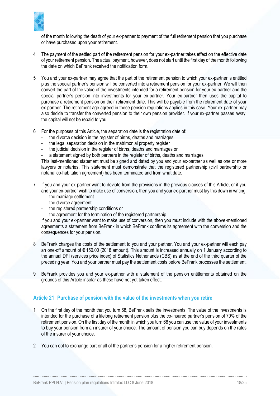

of the month following the death of your ex-partner to payment of the full retirement pension that you purchase or have purchased upon your retirement.

- 4 The payment of the settled part of the retirement pension for your ex-partner takes effect on the effective date of your retirement pension. The actual payment, however, does not start until the first day of the month following the date on which BeFrank received the notification form.
- 5 You and your ex-partner may agree that the part of the retirement pension to which your ex-partner is entitled plus the special partner's pension will be converted into a retirement pension for your ex-partner. We will then convert the part of the value of the investments intended for a retirement pension for your ex-partner and the special partner's pension into investments for your ex-partner. Your ex-partner then uses the capital to purchase a retirement pension on their retirement date. This will be payable from the retirement date of your ex-partner. The retirement age agreed in these pension regulations applies in this case. Your ex-partner may also decide to transfer the converted pension to their own pension provider. If your ex-partner passes away, the capital will not be repaid to you.
- 6 For the purposes of this Article, the separation date is the registration date of:
	- the divorce decision in the register of births, deaths and marriages
	- the legal separation decision in the matrimonial property register
	- the judicial decision in the register of births, deaths and marriages or
	- a statement signed by both partners in the register of births, deaths and marriages

This last-mentioned statement must be signed and dated by you and your ex-partner as well as one or more lawyers or notaries. This statement must demonstrate that the registered partnership (civil partnership or notarial co-habitation agreement) has been terminated and from what date.

- 7 If you and your ex-partner want to deviate from the provisions in the previous clauses of this Article, or if you and your ex-partner wish to make use of conversion, then you and your ex-partner must lay this down in writing:
	- the marriage settlement
	- the divorce agreement
	- the registered partnership conditions or
	- the agreement for the termination of the registered partnership

If you and your ex-partner want to make use of conversion, then you must include with the above-mentioned agreements a statement from BeFrank in which BeFrank confirms its agreement with the conversion and the consequences for your pension.

- 8 BeFrank charges the costs of the settlement to you and your partner. You and your ex-partner will each pay an one-off amount of € 150.00 (2018 amount). This amount is increased annually on 1 January according to the annual DPI (services price index) of Statistics Netherlands (CBS) as at the end of the third quarter of the preceding year. You and your partner must pay the settlement costs before BeFrank processes the settlement.
- 9 BeFrank provides you and your ex-partner with a statement of the pension entitlements obtained on the grounds of this Article insofar as these have not yet taken effect.

# <span id="page-17-0"></span>**Article 21 Purchase of pension with the value of the investments when you retire**

- 1 On the first day of the month that you turn 68, BeFrank sells the investments. The value of the investments is intended for the purchase of a lifelong retirement pension plus the co-insured partner's pension of 70% of the retirement pension. On the first day of the month in which you turn 68 you can use the value of your investments to buy your pension from an insurer of your choice. The amount of pension you can buy depends on the rates of the insurer of your choice.
- 2 You can opt to exchange part or all of the partner's pension for a higher retirement pension.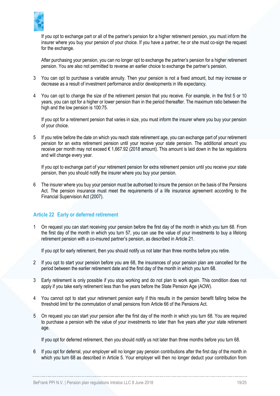

If you opt to exchange part or all of the partner's pension for a higher retirement pension, you must inform the insurer where you buy your pension of your choice. If you have a partner, he or she must co-sign the request for the exchange.

After purchasing your pension, you can no longer opt to exchange the partner's pension for a higher retirement pension. You are also not permitted to reverse an earlier choice to exchange the partner's pension.

- 3 You can opt to purchase a variable annuity. Then your pension is not a fixed amount, but may increase or decrease as a result of investment performance and/or developments in life expectancy.
- 4 You can opt to change the size of the retirement pension that you receive. For example, in the first 5 or 10 years, you can opt for a higher or lower pension than in the period thereafter. The maximum ratio between the high and the low pension is 100:75.

If you opt for a retirement pension that varies in size, you must inform the insurer where you buy your pension of your choice.

5 If you retire before the date on which you reach state retirement age, you can exchange part of your retirement pension for an extra retirement pension until your receive your state pension. The additional amount you receive per month may not exceed € 1,667.92 (2018 amount). This amount is laid down in the tax regulations and will change every year.

If you opt to exchange part of your retirement pension for extra retirement pension until you receive your state pension, then you should notify the insurer where you buy your pension.

6 The insurer where you buy your pension must be authorised to insure the pension on the basis of the Pensions Act. The pension insurance must meet the requirements of a life insurance agreement according to the Financial Supervision Act (2007).

# <span id="page-18-0"></span>**Article 22 Early or deferred retirement**

1 On request you can start receiving your pension before the first day of the month in which you turn 68. From the first day of the month in which you turn 57, you can use the value of your investments to buy a lifelong retirement pension with a co-insured partner's pension, as described in [Article 21.](#page-17-0)

If you opt for early retirement, then you should notify us not later than three months before you retire.

- 2 If you opt to start your pension before you are 68, the insurances of your pension plan are cancelled for the period between the earlier retirement date and the first day of the month in which you turn 68.
- 3 Early retirement is only possible if you stop working and do not plan to work again. This condition does not apply if you take early retirement less than five years before the State Pension Age (AOW).
- 4 You cannot opt to start your retirement pension early if this results in the pension benefit falling below the threshold limit for the commutation of small pensions from Article 66 of the Pensions Act.
- 5 On request you can start your pension after the first day of the month in which you turn 68. You are required to purchase a pension with the value of your investments no later than five years after your state retirement age.

If you opt for deferred retirement, then you should notify us not later than three months before you turn 68.

6 If you opt for deferral, your employer will no longer pay pension contributions after the first day of the month in which you turn 68 as described in [Article 5.](#page-5-0) Your employer will then no longer deduct your contribution from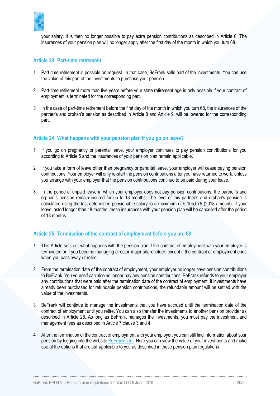

your salary. It is then no longer possible to pay extra pension contributions as described in [Article 6.](#page-6-0) The insurances of your pension plan will no longer apply after the first day of the month in which you turn 68.

#### <span id="page-19-0"></span>**Article 23 Part-time retirement**

- 1 Part-time retirement is possible on request. In that case, BeFrank sells part of the investments. You can use the value of this part of the investments to purchase your pension.
- 2 Part-time retirement more than five years before your state retirement age is only possible if your contract of employment is terminated for the corresponding part.
- 3 In the case of part-time retirement before the first day of the month in which you turn 68, the insurances of the partner's and orphan's pension as described in [Article 8](#page-8-0) and [Article 9,](#page-8-1) will be lowered for the corresponding part.

# <span id="page-19-1"></span>**Article 24 What happens with your pension plan if you go on leave?**

- 1 If you go on pregnancy or parental leave, your employer continues to pay pension contributions for you according t[o Article 5](#page-5-0) and the insurances of your pension plan remain applicable.
- 2 If you take a form of leave other than pregnancy or parental leave, your employer will cease paying pension contributions. Your employer will only re-start the pension contributions after you have returned to work, unless you arrange with your employer that the pension contributions continue to be paid during your leave.
- 3 In the period of unpaid leave in which your employer does not pay pension contributions, the partner's and orphan's pension remain insured for up to 18 months. The level of this partner's and orphan's pension is calculated using the last-determined pensionable salary to a maximum of € 105,075 (2018 amount). If your leave lasted longer than 18 months, these insurances with your pension plan will be cancelled after the period of 18 months.

# <span id="page-19-2"></span>**Article 25 Termination of the contract of employment before you are 68**

- 1 This Article sets out what happens with the pension plan if the contract of employment with your employer is terminated or if you become managing director-major shareholder, except if the contract of employment ends when you pass away or retire.
- 2 From the termination date of the contract of employment, your employer no longer pays pension contributions to BeFrank. You yourself can also no longer pay any pension contributions. BeFrank refunds to your employer any contributions that were paid after the termination date of the contract of employment. If investments have already been purchased for refundable pension contributions, the refundable amount will be settled with the value of the investments.
- 3 BeFrank will continue to manage the investments that you have accrued until the termination date of the contract of employment until you retire. You can also transfer the investments to another pension provider as described in [Article 26.](#page-20-0) As long as BeFrank manages the investments, you must pay the investment and management fees as described in [Article 7](#page-7-0) clause [3](#page-7-1) and [4.](#page-7-2)
- 4 After the termination of the contract of employment with your employer, you can still find information about your pension by logging into the website **BeFrank.com.** Here you can view the value of your investments and make use of the options that are still applicable to you as described in these pension plan regulations.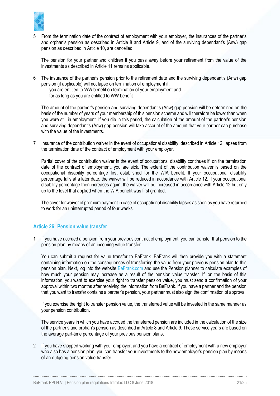

5 From the termination date of the contract of employment with your employer, the insurances of the partner's and orphan's pension as described in [Article 8](#page-8-0) and [Article 9,](#page-8-1) and of the surviving dependant's (Anw) gap pension as described in [Article 10,](#page-8-2) are cancelled.

The pension for your partner and children if you pass away before your retirement from the value of the investments as described i[n Article 11](#page-10-0) remains applicable.

- 6 The insurance of the partner's pension prior to the retirement date and the surviving dependant's (Anw) gap pension (if applicable) will not lapse on termination of employment if:
	- you are entitled to WW benefit on termination of your employment and
	- for as long as you are entitled to WW benefit

The amount of the partner's pension and surviving dependant's (Anw) gap pension will be determined on the basis of the number of years of your membership of this pension scheme and will therefore be lower than when you were still in employment. If you die in this period, the calculation of the amount of the partner's pension and surviving dependant's (Anw) gap pension will take account of the amount that your partner can purchase with the value of the investments.

7 Insurance of the contribution waiver in the event of occupational disability, described in [Article 12,](#page-10-1) lapses from the termination date of the contract of employment with your employer.

Partial cover of the contribution waiver in the event of occupational disability continues if, on the termination date of the contract of employment, you are sick. The extent of the contribution waiver is based on the occupational disability percentage first established for the WIA benefit. If your occupational disability percentage falls at a later date, the waiver will be reduced in accordance with [Article 12.](#page-10-1) If your occupational disability percentage then increases again, the waiver will be increased in accordance with [Article 12](#page-10-1) but only up to the level that applied when the WIA benefit was first granted.

The cover for waiver of premium payment in case of occupational disability lapses as soon as you have returned to work for an uninterrupted period of four weeks.

#### <span id="page-20-0"></span>**Article 26 Pension value transfer**

1 If you have accrued a pension from your previous contract of employment, you can transfer that pension to the pension plan by means of an incoming value transfer.

You can submit a request for value transfer to BeFrank. BeFrank will then provide you with a statement containing information on the consequences of transferring the value from your previous pension plan to this pension plan. Next, log into the website [BeFrank.com](https://www.befrank.com/) and use the Pension planner to calculate examples of how much your pension may increase as a result of the pension value transfer. If, on the basis of this information, you want to exercise your right to transfer pension value, you must send a confirmation of your approval within two months after receiving the information from BeFrank. If you have a partner and the pension that you want to transfer contains a partner's pension, your partner must also sign the confirmation of approval.

If you exercise the right to transfer pension value, the transferred value will be invested in the same manner as your pension contribution.

The service years in which you have accrued the transferred pension are included in the calculation of the size of the partner's and orphan's pension as described in [Article 8](#page-8-0) an[d Article 9.](#page-8-1) These service years are based on the average part-time percentage of your previous pension plans.

<span id="page-20-1"></span>2 If you have stopped working with your employer, and you have a contract of employment with a new employer who also has a pension plan, you can transfer your investments to the new employer's pension plan by means of an outgoing pension value transfer.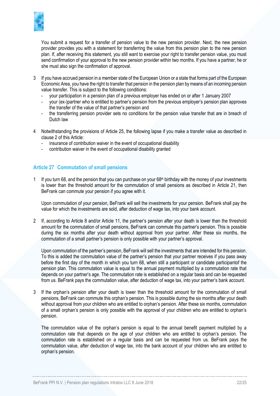

You submit a request for a transfer of pension value to the new pension provider. Next, the new pension provider provides you with a statement for transferring the value from this pension plan to the new pension plan. If, after receiving this statement, you still want to exercise your right to transfer pension value, you must send confirmation of your approval to the new pension provider within two months. If you have a partner, he or she must also sign the confirmation of approval.

- 3 If you have accrued pension in a member state of the European Union or a state that forms part of the European Economic Area, you have the right to transfer that pension in the pension plan by means of an incoming pension value transfer. This is subject to the following conditions:
	- your participation in a pension plan of a previous employer has ended on or after 1 January 2007
	- your (ex-)partner who is entitled to partner's pension from the previous employer's pension plan approves the transfer of the value of that partner's pension and
	- the transferring pension provider sets no conditions for the pension value transfer that are in breach of Dutch law
- 4 Notwithstanding the provisions of [Article 25,](#page-19-2) the following lapse if you make a transfer value as described in claus[e 2](#page-20-1) of this Article:
	- insurance of contribution waiver in the event of occupational disability
	- contribution waiver in the event of occupational disability granted

#### <span id="page-21-0"></span>**Article 27 Commutation of small pensions**

1 If you turn 68, and the pension that you can purchase on your  $68<sup>th</sup>$  birthday with the money of your investments is lower than the threshold amount for the commutation of small pensions as described in [Article 21,](#page-17-0) then BeFrank can commute your pension if you agree with it.

Upon commutation of your pension, BeFrank will sell the investments for your pension. BeFrank shall pay the value for which the investments are sold, after deduction of wage tax, into your bank account.

2 If, according to [Article 8](#page-8-0) and/or [Article 11,](#page-10-0) the partner's pension after your death is lower than the threshold amount for the commutation of small pensions, BeFrank can commute this partner's pension. This is possible during the six months after your death without approval from your partner. After these six months, the commutation of a small partner's pension is only possible with your partner's approval.

Upon commutation of the partner's pension, BeFrank will sell the investments that are intended for this pension. To this is added the commutation value of the partner's pension that your partner receives if you pass away before the first day of the month in which you turn 68, when still a participant or candidate participantof the pension plan. This commutation value is equal to the annual payment multiplied by a commutation rate that depends on your partner's age. The commutation rate is established on a regular basis and can be requested from us. BeFrank pays the commutation value, after deduction of wage tax, into your partner's bank account.

If the orphan's pension after your death is lower than the threshold amount for the commutation of small pensions, BeFrank can commute this orphan's pension. This is possible during the six months after your death without approval from your children who are entitled to orphan's pension. After these six months, commutation of a small orphan's pension is only possible with the approval of your children who are entitled to orphan's pension.

The commutation value of the orphan's pension is equal to the annual benefit payment multiplied by a commutation rate that depends on the age of your children who are entitled to orphan's pension. The commutation rate is established on a regular basis and can be requested from us. BeFrank pays the commutation value, after deduction of wage tax, into the bank account of your children who are entitled to orphan's pension.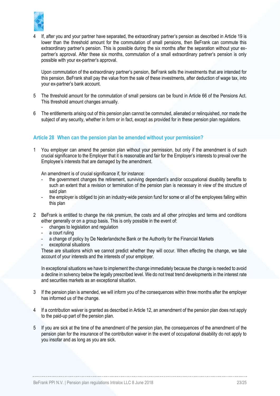

4 If, after you and your partner have separated, the extraordinary partner's pension as described i[n Article 19](#page-15-2) is lower than the threshold amount for the commutation of small pensions, then BeFrank can commute this extraordinary partner's pension. This is possible during the six months after the separation without your expartner's approval. After these six months, commutation of a small extraordinary partner's pension is only possible with your ex-partner's approval.

Upon commutation of the extraordinary partner's pension, BeFrank sells the investments that are intended for this pension. BeFrank shall pay the value from the sale of these investments, after deduction of wage tax, into your ex-partner's bank account.

- 5 The threshold amount for the commutation of small pensions can be found in Article 66 of the Pensions Act. This threshold amount changes annually.
- 6 The entitlements arising out of this pension plan cannot be commuted, alienated or relinquished, nor made the subject of any security, whether in form or in fact, except as provided for in these pension plan regulations.

# <span id="page-22-0"></span>**Article 28 When can the pension plan be amended without your permission?**

1 You employer can amend the pension plan without your permission, but only if the amendment is of such crucial significance to the Employer that it is reasonable and fair for the Employer's interests to prevail over the Employee's interests that are damaged by the amendment.

An amendment is of crucial significance if, for instance:

- the government changes the retirement, surviving dependant's and/or occupational disability benefits to such an extent that a revision or termination of the pension plan is necessary in view of the structure of said plan
- the employer is obliged to join an industry-wide pension fund for some or all of the employees falling within this plan
- 2 BeFrank is entitled to change the risk premium, the costs and all other principles and terms and conditions either generally or on a group basis. This is only possible in the event of:
	- changes to legislation and regulation
	- a court ruling
	- a change of policy by De Nederlandsche Bank or the Authority for the Financial Markets
	- exceptional situations

These are situations which we cannot predict whether they will occur. When effecting the change, we take account of your interests and the interests of your employer.

In exceptional situations we have to implement the change immediately because the change is needed to avoid a decline in solvency below the legally prescribed level. We do not treat trend developments in the interest rate and securities markets as an exceptional situation.

- 3 If the pension plan is amended, we will inform you of the consequences within three months after the employer has informed us of the change.
- 4 If a contribution waiver is granted as described in [Article 12,](#page-10-1) an amendment of the pension plan does not apply to the paid-up part of the pension plan.
- 5 If you are sick at the time of the amendment of the pension plan, the consequences of the amendment of the pension plan for the insurance of the contribution waiver in the event of occupational disability do not apply to you insofar and as long as you are sick.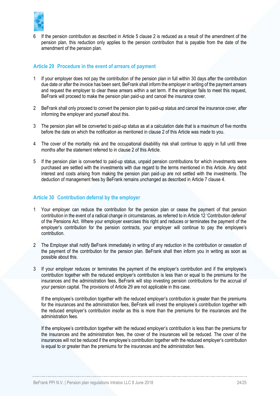

6 If the pension contribution as described in [Article 5](#page-5-0) clause 2 is reduced as a result of the amendment of the pension plan, this reduction only applies to the pension contribution that is payable from the date of the amendment of the pension plan.

## <span id="page-23-0"></span>**Article 29 Procedure in the event of arrears of payment**

- 1 If your employer does not pay the contribution of the pension plan in full within 30 days after the contribution due date or after the invoice has been sent, BeFrank shall inform the employer in writing of the payment arrears and request the employer to clear these arrears within a set term. If the employer fails to meet this request, BeFrank will proceed to make the pension plan paid-up and cancel the insurance cover.
- 2 BeFrank shall only proceed to convert the pension plan to paid-up status and cancel the insurance cover, after informing the employer and yourself about this.
- 3 The pension plan will be converted to paid-up status as at a calculation date that is a maximum of five months before the date on which the notification as mentioned in clause 2 of this Article was made to you.
- 4 The cover of the mortality risk and the occupational disabilitiy risk shall continue to apply in full until three months after the statement referred to in clause 2 of this Article.
- 5 If the pension plan is converted to paid-up status, unpaid pension contributions for which investments were purchased are settled with the investments with due regard to the terms mentioned in this Article. Any debit interest and costs arising from making the pension plan paid-up are not settled with the investments. The deduction of management fees by BeFrank remains unchanged as described in [Article 7](#page-7-0) claus[e 4.](#page-7-2)

#### <span id="page-23-1"></span>**Article 30 Contribution deferral by the employer**

- 1 Your employer can reduce the contribution for the pension plan or cease the payment of that pension contribution in the event of a radical change in circumstances, as referred to in Article 12 'Contribution deferral' of the Pensions Act. Where your employer exercises this right and reduces or terminates the payment of the employer's contribution for the pension contracts, your employer will continue to pay the employee's contribution.
- 2 The Employer shall notify BeFrank immediately in writing of any reduction in the contribution or cessation of the payment of the contribution for the pension plan. BeFrank shall then inform you in writing as soon as possible about this.
- 3 If your employer reduces or terminates the payment of the employer's contribution and if the employee's contribution together with the reduced employer's contribution is less than or equal to the premiums for the insurances and the administration fees, BeFrank will stop investing pension contributions for the accrual of your pension capital. The provisions of [Article 29](#page-23-0) are not applicable in this case.

If the employee's contribution together with the reduced employer's contribution is greater than the premiums for the insurances and the administration fees, BeFrank will invest the employee's contribution together with the reduced employer's contribution insofar as this is more than the premiums for the insurances and the administration fees.

If the employee's contribution together with the reduced employer's contribution is less than the premiums for the insurances and the administration fees, the cover of the insurances will be reduced. The cover of the insurances will not be reduced if the employee's contribution together with the reduced employer's contribution is equal to or greater than the premiums for the insurances and the administration fees.